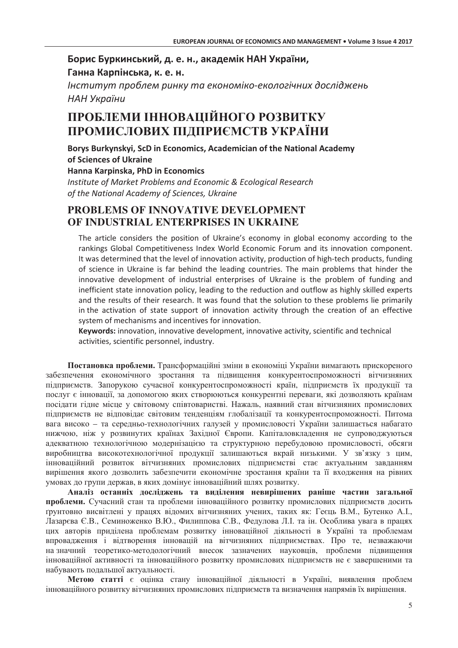## Борис Буркинський, д. е. н., академік НАН України, Ганна Карпінська, к. е. н.

Інститут проблем ринку та економіко-екологічних досліджень НАН України

# ПРОБЛЕМИ ІННОВАЦІЙНОГО РОЗВИТКУ ПРОМИСЛОВИХ ПІЛПРИЄМСТВ УКРАЇНИ

Borys Burkynskyi, ScD in Economics, Academician of the National Academy of Sciences of Ukraine Hanna Karpinska, PhD in Economics

Institute of Market Problems and Economic & Ecological Research of the National Academy of Sciences, Ukraine

# PROBLEMS OF INNOVATIVE DEVELOPMENT OF INDUSTRIAL ENTERPRISES IN UKRAINE

The article considers the position of Ukraine's economy in global economy according to the rankings Global Competitiveness Index World Economic Forum and its innovation component. It was determined that the level of innovation activity, production of high-tech products, funding of science in Ukraine is far behind the leading countries. The main problems that hinder the innovative development of industrial enterprises of Ukraine is the problem of funding and inefficient state innovation policy, leading to the reduction and outflow as highly skilled experts and the results of their research. It was found that the solution to these problems lie primarily in the activation of state support of innovation activity through the creation of an effective system of mechanisms and incentives for innovation.

Keywords: innovation, innovative development, innovative activity, scientific and technical activities, scientific personnel, industry.

Постановка проблеми. Трансформаційні зміни в економіці України вимагають прискореного забезпечення економічного зростання та підвищення конкурентоспроможності вітчизняних підприємств. Запорукою сучасної конкурентоспроможності країн, підприємств їх продукції та послуг є інновації, за допомогою яких створюються конкурентні переваги, які дозволяють країнам посідати гідне місце у світовому співтоваристві. Нажаль, наявний стан вітчизняних промислових підприємств не відповідає світовим тенденціям глобалізації та конкурентоспроможності. Питома вага високо - та середньо-технологічних галузей у промисловості України залишається набагато нижчою, ніж у розвинутих країнах Західної Європи. Капіталовкладення не супроводжуються адекватною технологічною модернізацією та структурною перебудовою промисловості, обсяги виробництва високотехнологічної продукції залишаються вкрай низькими. У зв'язку з цим, інноваційний розвиток вітчизняних промислових підприємстві стає актуальним завданням вирішення якого дозволить забезпечити економічне зростання країни та її входження на рівних умовах до групи держав, в яких домінує інноваційний шлях розвитку.

Аналіз останніх досліджень та виділення невирішених раніше частин загальної проблеми. Сучасний стан та проблеми інноваційного розвитку промислових підприємств досить грунтовно висвітлені у працях відомих вітчизняних учених, таких як: Геєць В.М., Бутенко А.І., Лазарєва Є.В., Семиноженко В.Ю., Филиппова С.В., Федулова Л.І. та ін. Особлива увага в працях цих авторів приділена проблемам розвитку інноваційної діяльності в Україні та проблемам впровадження і відтворення інновацій на вітчизняних підприємствах. Про те, незважаючи на значний теоретико-методологічний внесок зазначених науковців, проблеми підвищення інноваційної активності та інноваційного розвитку промислових підприємств не є завершеними та набувають подальшої актуальності.

Метою статті є оцінка стану інноваційної діяльності в Україні, виявлення проблем інноваційного розвитку вітчизняних промислових підприємств та визначення напрямів їх вирішення.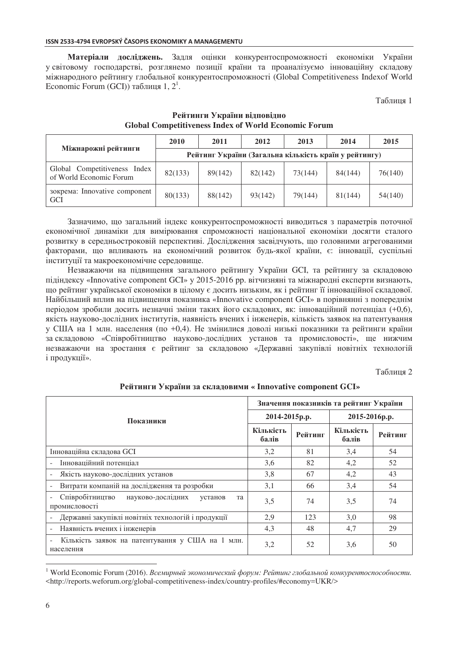#### ISSN 2533-4794 EVROPSKÝ ČASOPIS EKONOMIKY A MANAGEMENTU

Матеріали досліджень. Задля оцінки конкурентоспроможності економіки України у світовому господарстві, розглянемо позиції країни та проаналізуємо інноваційну складову міжнародного рейтингу глобальної конкурентоспроможності (Global Competitiveness Indexof World Economic Forum (GCI)) таблиця 1,  $2^1$ .

Таблиця 1

| Міжнарожні рейтинги                                     | 2010                                                  | 2011    | 2012    | 2013    | 2014    | 2015    |
|---------------------------------------------------------|-------------------------------------------------------|---------|---------|---------|---------|---------|
|                                                         | Рейтинг України (Загальна кількість країн у рейтингу) |         |         |         |         |         |
| Global Competitiveness Index<br>of World Economic Forum | 82(133)                                               | 89(142) | 82(142) | 73(144) | 84(144) | 76(140) |
| зокрема: Innovative component<br><b>GCI</b>             | 80(133)                                               | 88(142) | 93(142) | 79(144) | 81(144) | 54(140) |

## Рейтинги України відповідно **Global Competitiveness Index of World Economic Forum**

Зазначимо, що загальний індекс конкурентоспроможності виводиться з параметрів поточної економічної динаміки для вимірювання спроможності національної економіки досягти сталого розвитку в середньостроковій перспективі. Дослідження засвідчують, що головними агрегованими факторами, що впливають на економічний розвиток будь-якої країни, є: інновації, суспільні інституції та макроекономічне середовище.

Незважаючи на підвищення загального рейтингу України GCI, та рейтингу за складовою підіндексу «Innovative component GCI» у 2015-2016 рр. вітчизняні та міжнародні експерти визнають, що рейтинг української економіки в цілому є досить низьким, як і рейтинг її інноваційної складової. Найбільший вплив на підвищення показника «Innovative component GCI» в порівнянні з попереднім періодом зробили досить незначні зміни таких його складових, як: інноваційний потенціал (+0,6), якість науково-дослідних інститутів, наявність вчених і інженерів, кількість заявок на патентування у США на 1 млн. населення (по +0,4). Не змінилися доволі низькі показники та рейтинги країни за складовою «Співробітництво науково-дослідних установ та промисловості», ще нижчим незважаючи на зростання є рейтинг за складовою «Державні закупівлі новітніх технологій і продукції».

Таблиня 2

|                                                                     | Значення показників та рейтинг України |         |                    |         |  |
|---------------------------------------------------------------------|----------------------------------------|---------|--------------------|---------|--|
| Показники                                                           | 2014-2015p.p.                          |         | 2015-2016p.p.      |         |  |
|                                                                     | Кількість<br>балів                     | Рейтинг | Кількість<br>балів | Рейтинг |  |
| Інноваційна складова GCI                                            | 3,2                                    | 81      | 3,4                | 54      |  |
| Інноваційний потенціал                                              | 3,6                                    | 82      | 4,2                | 52      |  |
| Якість науково-дослідних установ                                    | 3,8                                    | 67      | 4,2                | 43      |  |
| Витрати компаній на дослідження та розробки                         | 3,1                                    | 66      | 3,4                | 54      |  |
| Співробітництво науково-дослідних<br>установ<br>та<br>промисловості | 3,5                                    | 74      | 3,5                | 74      |  |
| Державні закупівлі новітніх технологій і продукції                  | 2,9                                    | 123     | 3,0                | 98      |  |
| Наявність вчених і інженерів                                        | 4,3                                    | 48      | 4,7                | 29      |  |
| Кількість заявок на патентування у США на 1 млн.<br>населення       | 3,2                                    | 52      | 3,6                | 50      |  |

**Рейтинги України за складовими « Innovative component GCI»** 

 $\overline{a}$ 

<sup>&</sup>lt;sup>1</sup> World Economic Forum (2016). Всемирный экономический форум: Рейтинг глобальной конкурентоспособности. <http://reports.weforum.org/global-competitiveness-index/country-profiles/#economy=UKR/>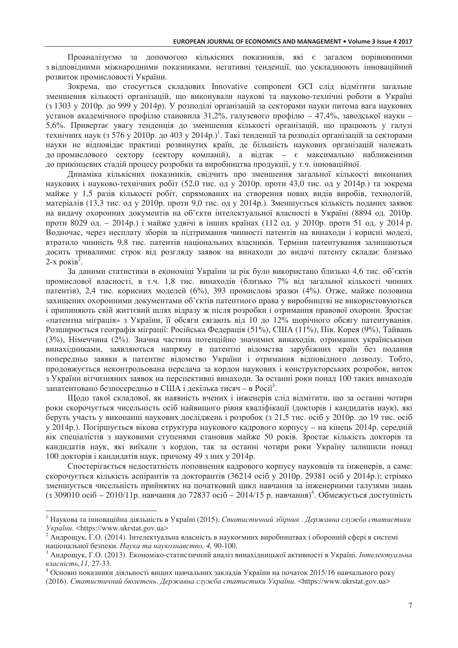Проаналізуємо за допомогою кількісних показників, які є загалом порівнянними з відповідними міжнародними показниками, негативні тенденції, що ускладнюють інноваційний розвиток промисловості України.

Зокрема, що стосується складових Innovative component GCI слід відмітити загальне зменшення кількості організацій, що виконували наукові та науково-технічні роботи в Україні (з 1303 у 2010р. до 999 у 2014р). У розподілі організацій за секторами науки питома вага наукових установ академічного профілю становила 31,2%, галузевого профілю – 47,4%, заводської науки – 5,6%. Привертає увагу тенденція до зменшення кількості організацій, що працюють у галузі технічних наук (з 576 у 2010р. до 403 у 2014р.)<sup>1</sup>. Такі тенденції та розподіл організацій за секторами науки не відповідає практиці розвинутих країн, де більшість наукових організацій належать допромислового сектору (сектору компаній), а відтак – є максимально наближеними до прикінцевих стадій процесу розробки та виробництва продукції, у т.ч. інноваційної.

Динаміка кількісних показників, свідчить про зменшення загальної кількості виконаних наукових і науково-технічних робіт (52,0 тис. од у 2010р. проти 43,0 тис. од у 2014р.) та зокрема майже у 1,5 разів кількості робіт, спрямованих на створення нових видів виробів, технологій, матеріалів (13,3 тис. од у 2010р. проти 9,0 тис. од у 2014р.). Зменшується кількість поданих заявок на видачу охоронних документів на об'єкти інтелектуальної власності в Україні (8894 од. 2010р. проти 8029 од. – 2014р.) і майже удвічі в інших країнах (112 од. у 2010р. проти 51 од. у 2014 р. Водночас, через несплату зборів за підтримання чинності патентів на винаходи і корисні моделі, втратило чинність 9,8 тис. патентів національних власників. Терміни патентування залишаються досить тривалими: строк від розгляду заявок на винаходи до видачі патенту складає близько 2-х років<sup>2</sup>.

За даними статистики в економіці України за рік було використано близько 4,6 тис. об'єктів промислової власності, в т.ч. 1,8 тис. винаходів (близько 7% від загальної кількості чинних патентів), 2,4 тис. корисних моделей (6%), 393 промислові зразки (4%). Отже, майже половина захищених охоронними документами об'єктів патентного права у виробництві не використовуються і припиняють свій життєвий шлях відразу ж після розробки і отримання правової охорони. Зростає «патентна міграція» з України, її обсяги сягають від 10 до 12% щорічного обсягу патентування. Розширюється географія міграції: Російська Федерація (51%), США (11%), Пів. Корея (9%), Тайвань (3%), Німеччина (2%). Значна частина потенційно значимих винаходів, отриманих українськими винахідниками, заявляються напряму в патентні відомства зарубіжних країн без подання попередньо заявки в патентне відомство України і отримання відповідного дозволу. Тобто, продовжується неконтрольована передача за кордон наукових і конструкторських розробок, виток з України вітчизняних заявок на перспективні винаходи. За останні роки понад 100 таких винаходів запатентовано безпосередньо в США і декілька тисяч - в Росії<sup>3</sup>.

Щодо такої складової, як наявність вчених і інженерів слід відмітити, що за останні чотири роки скорочується чисельність осіб найвищого рівня кваліфікації (докторів і кандидатів наук), які беруть участь у виконанні наукових досліджень і розробок (з 21,5 тис. осіб у 2010р. до 19 тис. осіб у 2014р.). Погіршується вікова структура наукового кадрового корпусу – на кінець 2014р. середній вік спеціалістів з науковими ступенями становив майже 50 років. Зростає кількість докторів та кандидатів наук, які виїхали з кордон, так за останні чотири роки Україну залишили понад 100 докторів і кандидатів наук, причому 49 з них у 2014р.

Спостерігається недостатність поповнення кадрового корпусу науковців та інженерів, а саме: скорочується кількість аспірантів та докторантів (36214 осіб у 2010р. 29381 осіб у 2014р.); стрімко зменшується чисельність прийнятих на початковий цикл навчання за інженерними галузями знань (з 309010 осіб - 2010/11р. навчання до 72837 осіб - 2014/15 р. навчання)<sup>4</sup>. Обмежується доступність

 $\overline{a}$ 

<sup>&</sup>lt;sup>1</sup> Наукова та інноваційна діяльність в Україні (2015). Статистичний збірник . Державна служба статистики *.* <https://www.ukrstat.gov.ua>

 $^2$  Андрощук, Г.О. (2014). Інтелектуальна власність в наукоємних виробництвах і оборонній сфері в системі національної безпеки. Наука та наукознавство, 4, 90-100.

<sup>&</sup>lt;sup>3</sup> Андрощук, Г.О. (2013). Економіко-статистичний аналіз винахідницької активності в Україні. *Інтелектуальна* власність, 11, 27-33.

 $^4$  Основні показники діяльності вищих навчальних закладів України на початок 2015/16 навчального року

<sup>(2016).</sup> Статистичний бюлетень. Державна служба статистики України. <https://www.ukrstat.gov.ua>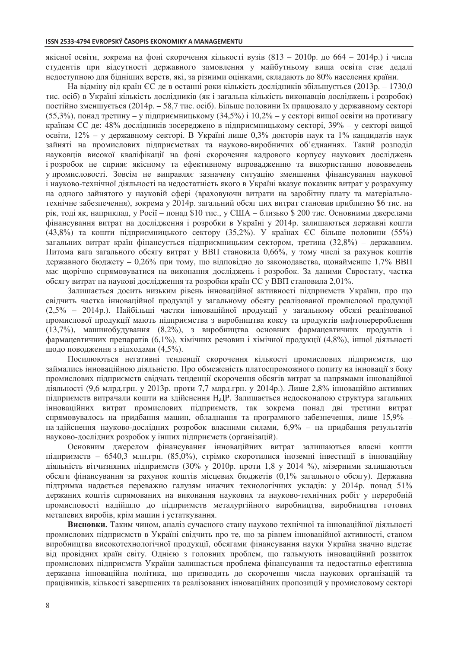якісної освіти, зокрема на фоні скорочення кількості вузів (813 – 2010р. до 664 – 2014р.) і числа студентів при відсутності державного замовлення у майбутньому вища освіта стає дедалі недоступною для бідніших верств, які, за різними оцінками, складають до 80% населення країни.

На відміну від країн ЄС де в останні роки кількість дослідників збільшується (2013р. – 1730,0 тис. осіб) в Україні кількість дослідників (як і загальна кількість виконавців досліджень і розробок) постійно зменшується (2014р. – 58,7 тис. осіб). Більше половини їх працювало у державному секторі (55,3%), понад третину – у підприємницькому (34,5%) і 10,2% – у секторі вищої освіти на противагу країнам ЄС де: 48% дослідників зосереджено в підприємницькому секторі, 39% - у секторі вищої освіти, 12% - у державному секторі. В Україні лише 0,3% докторів наук та 1% кандидатів наук зайняті на промислових підприємствах та науково-виробничих об'єднаннях. Такий розподіл науковців високої кваліфікації на фоні скорочення кадрового корпусу наукових досліджень і розробок не сприяє якісному та ефективному впровадженню та використанню нововведень упромисловості. Зовсім не виправляє зазначену ситуацію зменшення фінансування наукової і науково-технічної діяльності на недостатність якого в Україні вказує показник витрат у розрахунку на одного зайнятого у науковій сфері (враховуючи витрати на заробітну плату та матеріальнотехнічне забезпечення), зокрема у 2014р. загальний обсяг цих витрат становив приблизно \$6 тис. на рік, тоді як, наприклад, у Росії – понад \$10 тис., у США – близько \$ 200 тис. Основними джерелами фінансування витрат на дослідження і розробки в Україні у 2014р. залишаються державні кошти (43,8%) та кошти підприємницького сектору (35,2%). У країнах ЄС більше половини (55%) загальних витрат країн фінансується підприємницьким сектором, третина (32,8%) – державним. Питома вага загального обсягу витрат у ВВП становила 0,66%, у тому числі за рахунок коштів державного бюджету - 0,26% при тому, що відповідно до законодавства, щонайменше 1,7% ВВП має щорічно спрямовуватися на виконання досліджень і розробок. За даними Євростату, частка обсягу витрат на наукові дослідження та розробки країн ЄС у ВВП становила 2,01%.

Залишається досить низьким рівень інноваційної активності підприємств України, про що свідчить частка інноваційної продукції у загальному обсягу реалізованої промислової продукції (2,5% – 2014р.). Найбільші частки інноваційної продукції у загальному обсязі реалізованої промислової продукції мають підприємства з виробництва коксу та продуктів нафтоперероблення (13,7%), машинобудування (8,2%), з виробництва основних фармацевтичних продуктів і фармацевтичних препаратів (6,1%), хімічних речовин і хімічної продукції (4,8%), іншої діяльності щодо поводження з відходами (4,5%).

Посилюються негативні тенденції скорочення кількості промислових підприємств, що займались інноваційною діяльністю. Про обмеженість платоспроможного попиту на інновації з боку промислових підприємств свідчать тенденції скорочення обсягів витрат за напрямами інноваційної діяльності (9,6 млрд.грн. у 2013р. проти 7,7 млрд.грн. у 2014р.). Лише 2,8% інноваційно активних підприємств витрачали кошти на здійснення НДР. Залишається недосконалою структура загальних інноваційних витрат промислових підприємств, так зокрема понад дві третини витрат спрямовувалось на придбання машин, обладнання та програмного забезпечення, лише 15,9% на здійснення науково-дослідних розробок власними силами, 6,9% - на придбання результатів науково-дослідних розробок у інших підприємств (організацій).

Основним джерелом фінансування інноваційних витрат залишаються власні кошти підприємств - 6540,3 млн.грн. (85,0%), стрімко скоротилися іноземні інвестиції в інноваційну діяльність вітчизняних підприємств (30% у 2010р. проти 1,8 у 2014 %), мізерними залишаються обсяги фінансування за рахунок коштів місцевих бюджетів (0,1% загального обсягу). Державна підтримка надається переважно галузям нижчих технологічних укладів: у 2014р. понад 51% держаних коштів спрямованих на виконання наукових та науково-технічних робіт у переробній промисловості надійшло до підприємств металургійного виробництва, виробництва готових металевих виробів, крім машин і устаткування.

Висновки. Таким чином, аналіз сучасного стану науково технічної та інноваційної діяльності промислових підприємств в Україні свідчить про те, що за рівнем інноваційної активності, станом виробництва високотехнологічної продукції, обсягами фінансування науки Україна значно відстає від провідних країн світу. Однією з головних проблем, що гальмують інноваційний розвиток промислових підприємств України залишається проблема фінансування та недостатньо ефективна державна інноваційна політика, що призводить до скорочення числа наукових організацій та працівників, кількості завершених та реалізованих інноваційних пропозицій у промисловому секторі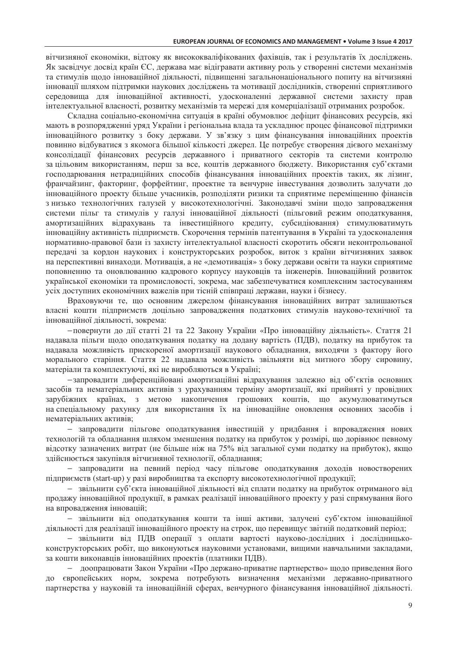вітчизняної економіки, відтоку як висококваліфікованих фахівців, так і результатів їх досліджень. Як засвідчує досвід країн ЄС, держава має відігравати активну роль у створенні системи механізмів та стимулів щодо інноваційної діяльності, підвищенні загальнонаціонального попиту на вітчизняні інновації шляхом підтримки наукових досліджень та мотивації дослідників, створенні сприятливого середовища для інноваційної активності, удосконаленні державної системи захисту прав інтелектуальної власності, розвитку механізмів та мережі для комерціалізації отриманих розробок.

Складна соціально-економічна ситуація в країні обумовлює дефіцит фінансових ресурсів, які мають в розпорядженні уряд України і регіональна влада та ускладнює процес фінансової підтримки інноваційного розвитку з боку держави. У зв'язку з цим фінансування інноваційних проектів повинно відбуватися з якомога більшої кількості джерел. Це потребує створення дієвого механізму консолідації фінансових ресурсів державного і приватного секторів та системи контролю за цільовим використанням, перш за все, коштів державного бюджету. Використання суб'єктами господарювання нетрадиційних способів фінансування інноваційних проектів таких, як лізинг, франчайзинг, факторинг, форфейтинг, проектне та венчурне інвестування дозволить залучати до інноваційного проекту більше учасників, розподіляти ризики та сприятиме переміщенню фінансів з низько технологічних галузей у високотехнологічні. Законодавчі зміни щодо запровадження системи пільг та стимулів у галузі інноваційної діяльності (пільговий режим оподаткування, амортизаційних відрахувань та інвестиційного кредиту, субсидіювання) стимулюватимуть інноваційну активність підприємств. Скорочення термінів патентування в Україні та удосконалення нормативно-правової бази із захисту інтелектуальної власності скоротить обсяги неконтрольованої передачі за кордон наукових і конструкторських розробок, виток з країни вітчизняних заявок на перспективні винаходи. Мотивація, а не «демотивація» з боку держави освіти та науки сприятиме поповненню та оновлюванню кадрового корпусу науковців та інженерів. Інноваційний розвиток української економіки та промисловості, зокрема, має забезпечуватися комплексним застосуванням усіх доступних економічних важелів при тісній співпраці держави, науки і бізнесу.

Враховуючи те, що основним джерелом фінансування інноваційних витрат залишаються власні кошти підприємств доцільно запровадження податкових стимулів науково-технічної та інноваційної діяльності, зокрема:

-повернути до дії статті 21 та 22 Закону України «Про інноваційну діяльність». Стаття 21 надавала пільги щодо оподаткування податку на додану вартість (ПДВ), податку на прибуток та надавала можливість прискореної амортизації наукового обладнання, виходячи з фактору його морального старіння. Стаття 22 надавала можливість звільняти від митного збору сировину, матеріали та комплектуючі, які не виробляються в Україні;

-запровадити диференційовані амортизаційні відрахування залежно від об'єктів основних засобів та нематеріальних активів з урахуванням терміну амортизації, які прийняті у провідних зарубіжних країнах, з метою накопичення грошових коштів, що акумулюватимуться на спеціальному рахунку для використання їх на інноваційне оновлення основних засобів і нематеріальних активів:

- запровадити пільгове оподаткування інвестицій у придбання і впровадження нових технологій та обладнання шляхом зменшення податку на прибуток у розмірі, що дорівнює певному відсотку зазначених витрат (не більше ніж на 75% від загальної суми податку на прибуток), якщо здійснюється закупівля вітчизняної технології, обладнання;

- запровадити на певний період часу пільгове оподаткування доходів новостворених підприємств (start-up) у разі виробництва та експорту високотехнологічної продукції;

- звільнити суб'єкта інноваційної ліяльності віл сплати полатку на прибуток отриманого віл продажу інноваційної продукції, в рамках реалізації інноваційного проекту у разі спрямування його на впровадження інновацій;

– звільнити від оподаткування кошти та інші активи, залучені суб'єктом інноваційної діяльності для реалізації інноваційного проекту на строк, що перевищує звітній податковий період;

- звільнити від ПДВ операції з оплати вартості науково-дослідних і дослідницькоконструкторських робіт, що виконуються науковими установами, вищими навчальними закладами, за кошти виконавців інноваційних проектів (платники ПДВ).

- доопрацювати Закон України «Про держано-приватне партнерство» щодо приведення його європейських норм, зокрема потребують визначення механізми державно-приватного партнерства у науковій та інноваційній сферах, венчурного фінансування інноваційної діяльності.